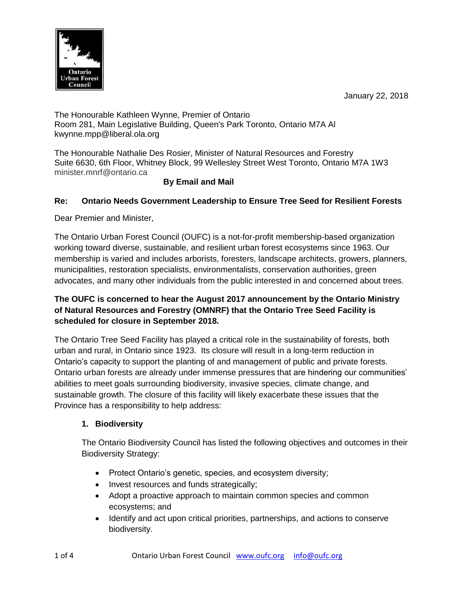

The Honourable Kathleen Wynne, Premier of Ontario Room 281, Main Legislative Building, Queen's Park Toronto, Ontario M7A Al kwynne.mpp@liberal.ola.org

The Honourable Nathalie Des Rosier, Minister of Natural Resources and Forestry Suite 6630, 6th Floor, Whitney Block, 99 Wellesley Street West Toronto, Ontario M7A 1W3 minister.mnrf@ontario.ca

# **By Email and Mail**

# **Re: Ontario Needs Government Leadership to Ensure Tree Seed for Resilient Forests**

Dear Premier and Minister,

The Ontario Urban Forest Council (OUFC) is a not-for-profit membership-based organization working toward diverse, sustainable, and resilient urban forest ecosystems since 1963. Our membership is varied and includes arborists, foresters, landscape architects, growers, planners, municipalities, restoration specialists, environmentalists, conservation authorities, green advocates, and many other individuals from the public interested in and concerned about trees.

# **The OUFC is concerned to hear the August 2017 announcement by the Ontario Ministry of Natural Resources and Forestry (OMNRF) that the Ontario Tree Seed Facility is scheduled for closure in September 2018.**

The Ontario Tree Seed Facility has played a critical role in the sustainability of forests, both urban and rural, in Ontario since 1923. Its closure will result in a long-term reduction in Ontario's capacity to support the planting of and management of public and private forests. Ontario urban forests are already under immense pressures that are hindering our communities' abilities to meet goals surrounding biodiversity, invasive species, climate change, and sustainable growth. The closure of this facility will likely exacerbate these issues that the Province has a responsibility to help address:

## **1. Biodiversity**

The Ontario Biodiversity Council has listed the following objectives and outcomes in their Biodiversity Strategy:

- Protect Ontario's genetic, species, and ecosystem diversity;
- Invest resources and funds strategically;
- Adopt a proactive approach to maintain common species and common ecosystems; and
- Identify and act upon critical priorities, partnerships, and actions to conserve biodiversity.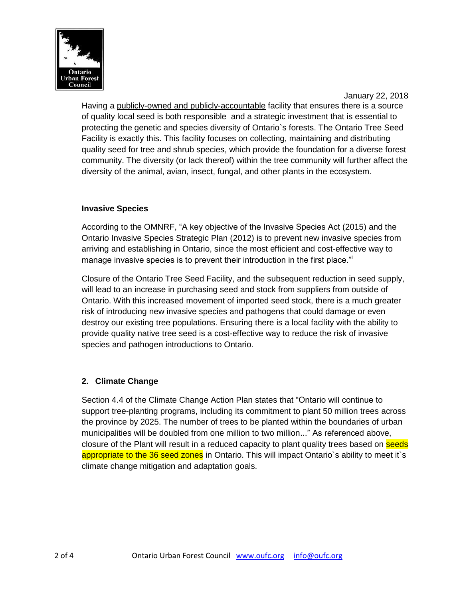

Having a publicly-owned and publicly-accountable facility that ensures there is a source of quality local seed is both responsible and a strategic investment that is essential to protecting the genetic and species diversity of Ontario`s forests. The Ontario Tree Seed Facility is exactly this. This facility focuses on collecting, maintaining and distributing quality seed for tree and shrub species, which provide the foundation for a diverse forest community. The diversity (or lack thereof) within the tree community will further affect the diversity of the animal, avian, insect, fungal, and other plants in the ecosystem.

#### **Invasive Species**

According to the OMNRF, "A key objective of the Invasive Species Act (2015) and the Ontario Invasive Species Strategic Plan (2012) is to prevent new invasive species from arriving and establishing in Ontario, since the most efficient and cost-effective way to manage invasive species is to prevent their introduction in the first place."

Closure of the Ontario Tree Seed Facility, and the subsequent reduction in seed supply, will lead to an increase in purchasing seed and stock from suppliers from outside of Ontario. With this increased movement of imported seed stock, there is a much greater risk of introducing new invasive species and pathogens that could damage or even destroy our existing tree populations. Ensuring there is a local facility with the ability to provide quality native tree seed is a cost-effective way to reduce the risk of invasive species and pathogen introductions to Ontario.

## **2. Climate Change**

Section 4.4 of the Climate Change Action Plan states that "Ontario will continue to support tree-planting programs, including its commitment to plant 50 million trees across the province by 2025. The number of trees to be planted within the boundaries of urban municipalities will be doubled from one million to two million..." As referenced above, closure of the Plant will result in a reduced capacity to plant quality trees based on seeds appropriate to the 36 seed zones in Ontario. This will impact Ontario's ability to meet it's climate change mitigation and adaptation goals.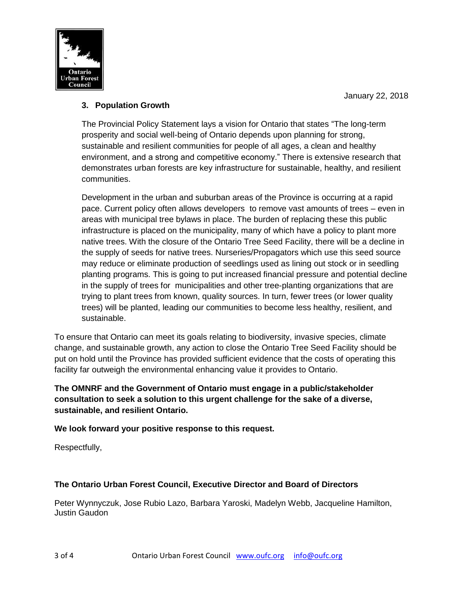

# **3. Population Growth**

The Provincial Policy Statement lays a vision for Ontario that states "The long-term prosperity and social well-being of Ontario depends upon planning for strong, sustainable and resilient communities for people of all ages, a clean and healthy environment, and a strong and competitive economy." There is extensive research that demonstrates urban forests are key infrastructure for sustainable, healthy, and resilient communities.

Development in the urban and suburban areas of the Province is occurring at a rapid pace. Current policy often allows developers to remove vast amounts of trees – even in areas with municipal tree bylaws in place. The burden of replacing these this public infrastructure is placed on the municipality, many of which have a policy to plant more native trees. With the closure of the Ontario Tree Seed Facility, there will be a decline in the supply of seeds for native trees. Nurseries/Propagators which use this seed source may reduce or eliminate production of seedlings used as lining out stock or in seedling planting programs. This is going to put increased financial pressure and potential decline in the supply of trees for municipalities and other tree-planting organizations that are trying to plant trees from known, quality sources. In turn, fewer trees (or lower quality trees) will be planted, leading our communities to become less healthy, resilient, and sustainable.

To ensure that Ontario can meet its goals relating to biodiversity, invasive species, climate change, and sustainable growth, any action to close the Ontario Tree Seed Facility should be put on hold until the Province has provided sufficient evidence that the costs of operating this facility far outweigh the environmental enhancing value it provides to Ontario.

**The OMNRF and the Government of Ontario must engage in a public/stakeholder consultation to seek a solution to this urgent challenge for the sake of a diverse, sustainable, and resilient Ontario.** 

**We look forward your positive response to this request.**

Respectfully,

## **The Ontario Urban Forest Council, Executive Director and Board of Directors**

Peter Wynnyczuk, Jose Rubio Lazo, Barbara Yaroski, Madelyn Webb, Jacqueline Hamilton, Justin Gaudon